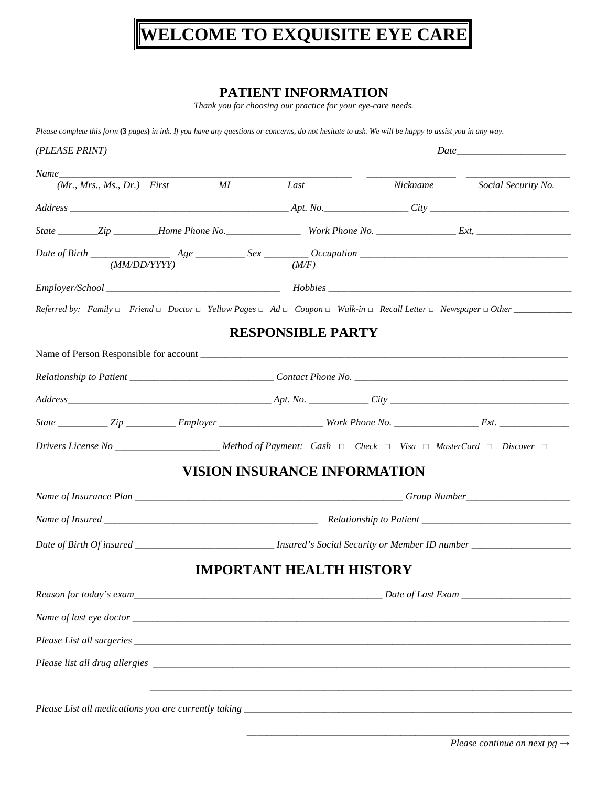# **WELCOME TO EXQUISITE EYE CARE**

### **PATIENT INFORMATION**

*Thank you for choosing our practice for your eye-care needs.* 

*Please complete this form* **(3** *pages***)** *in ink. If you have any questions or concerns, do not hesitate to ask. We will be happy to assist you in any way.* 

| $(Mr, Mrs., Ms., Dr.)$ First<br>MI                                                                                                    | Last                                | Nickname Social Security No. |
|---------------------------------------------------------------------------------------------------------------------------------------|-------------------------------------|------------------------------|
|                                                                                                                                       |                                     |                              |
|                                                                                                                                       |                                     |                              |
| (MM/DD/YYYY)                                                                                                                          | (M/F)                               |                              |
|                                                                                                                                       |                                     |                              |
|                                                                                                                                       |                                     |                              |
|                                                                                                                                       | <b>RESPONSIBLE PARTY</b>            |                              |
|                                                                                                                                       |                                     |                              |
|                                                                                                                                       |                                     |                              |
|                                                                                                                                       |                                     |                              |
|                                                                                                                                       |                                     |                              |
| Drivers License No ________________________ Method of Payment: Cash $\Box$ Check $\Box$ Visa $\Box$ MasterCard $\Box$ Discover $\Box$ |                                     |                              |
|                                                                                                                                       | <b>VISION INSURANCE INFORMATION</b> |                              |
|                                                                                                                                       |                                     |                              |
|                                                                                                                                       |                                     |                              |
|                                                                                                                                       |                                     |                              |
|                                                                                                                                       | <b>IMPORTANT HEALTH HISTORY</b>     |                              |
|                                                                                                                                       |                                     |                              |
|                                                                                                                                       |                                     |                              |
|                                                                                                                                       |                                     |                              |
|                                                                                                                                       |                                     |                              |
|                                                                                                                                       |                                     |                              |
|                                                                                                                                       |                                     |                              |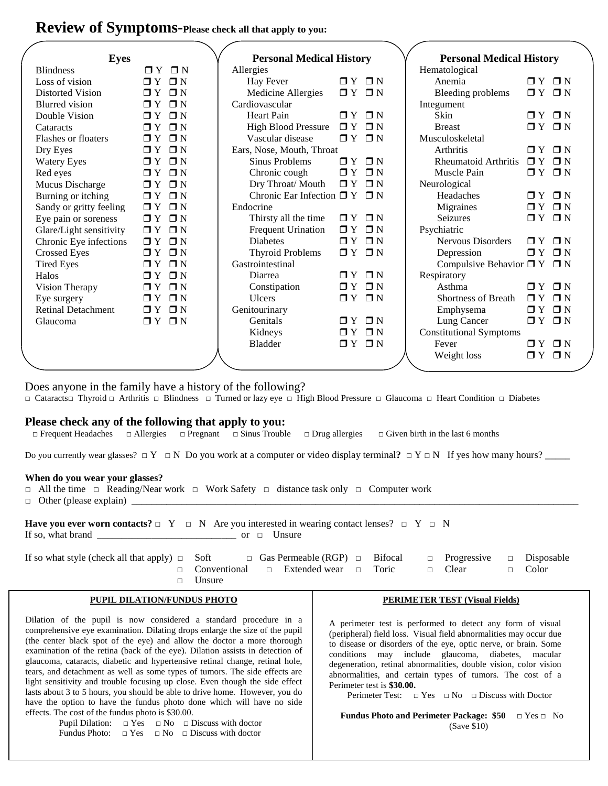## **Review of Symptoms-Please check all that apply to you:**

| <b>Eyes</b> |                           |                         | <b>Personal Medical History</b> |                   | <b>Personal Medical History</b> |                                |                       |                       |  |
|-------------|---------------------------|-------------------------|---------------------------------|-------------------|---------------------------------|--------------------------------|-----------------------|-----------------------|--|
|             | <b>Blindness</b>          | $\sqcap Y$ $\sqcap N$   | Allergies                       |                   |                                 | Hematological                  |                       |                       |  |
|             | Loss of vision            | $\Box$ Y $\Box$ N       | Hay Fever                       | $\Box$ Y $\Box$ N |                                 | Anemia                         |                       | $\Box$ $Y$ $\Box$ $N$ |  |
|             | <b>Distorted Vision</b>   | $\Box$ Y $\Box$ N       | Medicine Allergies              | $\Box$ Y $\Box$ N |                                 | Bleeding problems              | $\Box$ Y $\Box$ N     |                       |  |
|             | <b>Blurred</b> vision     | $\Box$ $Y$ $\Box$ $N$   | Cardiovascular                  |                   |                                 | Integument                     |                       |                       |  |
|             | Double Vision             | $\Box$ $Y$ $\Box$ $N$   | <b>Heart Pain</b>               | $\Box Y$ $\Box N$ |                                 | Skin                           |                       | $\Box$ $Y$ $\Box$ $N$ |  |
|             | Cataracts                 | $\Box$ $Y$ $\Box$ $N$   | <b>High Blood Pressure</b>      | $\Box Y$          | $\Box N$                        | <b>Breast</b>                  |                       | $\Box$ $Y$ $\Box$ $N$ |  |
|             | Flashes or floaters       | $\Box N$<br>$\Box Y$    | Vascular disease                | $\Box Y$          | $\Box N$                        | Musculoskeletal                |                       |                       |  |
|             | Dry Eyes                  | $\Box$ N<br>$\Box Y$    | Ears, Nose, Mouth, Throat       |                   |                                 | Arthritis                      |                       | $\Box$ $Y$ $\Box$ $N$ |  |
|             | <b>Watery Eyes</b>        | $\Box N$<br>$\Box Y$    | <b>Sinus Problems</b>           | $\mathsf{T} Y$    | $\blacksquare$ N                | <b>Rheumatoid Arthritis</b>    | $\Box Y$              | $\Box N$              |  |
|             | Red eyes                  | $\Box N$<br>$\Box Y$    | Chronic cough                   | $\Box Y$          | $\Box N$                        | Muscle Pain                    |                       | $\Box$ $Y$ $\Box$ $N$ |  |
|             | Mucus Discharge           | $\Box$ Y $\Box$ N       | Dry Throat/ Mouth               | $\Box Y$          | $\Box$ N                        | Neurological                   |                       |                       |  |
|             | Burning or itching        | $\Box Y$<br>$\Box$ N    | Chronic Ear Infection $\Box$ Y  |                   | $\blacksquare$ N                | Headaches                      | $\Box Y$              | $\blacksquare$ N      |  |
|             | Sandy or gritty feeling   | $\Box Y$<br>$\square$ N | Endocrine                       |                   |                                 | Migraines                      |                       | $\Box$ $Y$ $\Box$ $N$ |  |
|             | Eye pain or soreness      | $\Box$ N<br>$\Box Y$    | Thirsty all the time            | $\Box Y$          | $\Box N$                        | <b>Seizures</b>                | $\Box Y$              | $\Box N$              |  |
|             | Glare/Light sensitivity   | $\Box$ N<br>$\Box Y$    | <b>Frequent Urination</b>       | $\Box Y$          | $\Box$ N                        | Psychiatric                    |                       |                       |  |
|             | Chronic Eye infections    | $\Box$ Y $\Box$ N       | <b>Diabetes</b>                 | $\Box Y$          | $\Box N$                        | Nervous Disorders              | $\Box$ $Y$ $\Box$ $N$ |                       |  |
|             | <b>Crossed Eyes</b>       | $\Box Y$<br>$\Box N$    | <b>Thyroid Problems</b>         | $\Box Y$          | $\square N$                     | Depression                     | $\Box Y$              | $\square N$           |  |
|             | <b>Tired Eyes</b>         | $\Box$ N<br>$\Box Y$    | Gastrointestinal                |                   |                                 | Compulsive Behavior $\Box$ Y   |                       | $\square N$           |  |
|             | Halos                     | $\Box$ N<br>$\Box Y$    | Diarrea                         | $\Box Y$          | $\Box N$                        | Respiratory                    |                       |                       |  |
|             | Vision Therapy            | $\Box$ N<br>$\Box Y$    | Constipation                    | $\Box Y$          | $\Box N$                        | Asthma                         |                       | $\Box$ Y $\Box$ N     |  |
|             | Eye surgery               | $\Box$ $Y$ $\Box$ $N$   | <b>Ulcers</b>                   | $\Box Y$          | $\Box N$                        | <b>Shortness of Breath</b>     | $\Box$ $Y$ $\Box$ $N$ |                       |  |
|             | <b>Retinal Detachment</b> | $\Box$ Y $\Box$ N       | Genitourinary                   |                   |                                 | Emphysema                      |                       | $\Box$ Y $\Box$ N     |  |
|             | Glaucoma                  | $\Box$ $Y$ $\Box$ $N$   | Genitals                        | $\Box$ Y          | $\square N$                     | Lung Cancer                    |                       | $\Box$ Y $\Box$ N     |  |
|             |                           |                         | Kidneys                         | $\Box$ Y          | $\Box N$                        | <b>Constitutional Symptoms</b> |                       |                       |  |
|             |                           |                         | Bladder                         | OY.               | $\square N$                     | Fever                          |                       | $\sqcap Y$ $\sqcap N$ |  |
|             |                           |                         |                                 |                   |                                 | Weight loss                    | $\Box$ Y              | $\Box N$              |  |
|             |                           |                         |                                 |                   |                                 |                                |                       |                       |  |

Does anyone in the family have a history of the following?

□ Cataracts□ Thyroid □ Arthritis □ Blindness □ Turned or lazy eye □ High Blood Pressure □ Glaucoma □ Heart Condition □ Diabetes

#### **Please check any of the following that apply to you:**

□ Frequent Headaches □ Allergies □ Pregnant □ Sinus Trouble □ Drug allergies □ Given birth in the last 6 months

Do you currently wear glasses? □ Y □ N Do you work at a computer or video display terminal? □ Y □ N If yes how many hours? \_\_\_\_\_\_

#### **When do you wear your glasses?**

□ All the time □ Reading/Near work □ Work Safety □ distance task only □ Computer work

 $\Box$  Other (please explain)  $\Box$ 

**Have you ever worn contacts?**  $\Box$  Y  $\Box$  N Are you interested in wearing contact lenses?  $\Box$  Y  $\Box$  N If so, what brand  $\frac{1}{\sqrt{1-\frac{1}{2}}}\sqrt{1-\frac{1}{2}}$  or  $\Box$  Unsure

| If so what style (check all that apply) $\Box$ Soft |               | $\Box$ Gas Permeable (RGP) $\Box$ Bifocal $\Box$ Progressive $\Box$ Disposable  |  |  |  |
|-----------------------------------------------------|---------------|---------------------------------------------------------------------------------|--|--|--|
|                                                     |               | $\Box$ Conventional $\Box$ Extended wear $\Box$ Toric $\Box$ Clear $\Box$ Color |  |  |  |
|                                                     | $\Box$ Unsure |                                                                                 |  |  |  |

#### **PUPIL DILATION/FUNDUS PHOTO**

Dilation of the pupil is now considered a standard procedure in a comprehensive eye examination. Dilating drops enlarge the size of the pupil (the center black spot of the eye) and allow the doctor a more thorough examination of the retina (back of the eye). Dilation assists in detection of glaucoma, cataracts, diabetic and hypertensive retinal change, retinal hole, tears, and detachment as well as some types of tumors. The side effects are light sensitivity and trouble focusing up close. Even though the side effect lasts about 3 to 5 hours, you should be able to drive home. However, you do have the option to have the fundus photo done which will have no side effects. The cost of the fundus photo is \$30.00.

> Pupil Dilation:  $\Box$  Yes  $\Box$  No  $\Box$  Discuss with doctor Fundus Photo:  $\Box$  Yes  $\Box$  No  $\Box$  Discuss with doctor

#### **PERIMETER TEST (Visual Fields)**

A perimeter test is performed to detect any form of visual (peripheral) field loss. Visual field abnormalities may occur due to disease or disorders of the eye, optic nerve, or brain. Some conditions may include glaucoma, diabetes, macular degeneration, retinal abnormalities, double vision, color vision abnormalities, and certain types of tumors. The cost of a Perimeter test is **\$30.00.** 

Perimeter Test:  $\Box$  Yes  $\Box$  No  $\Box$  Discuss with Doctor

 **Fundus Photo and Perimeter Package: \$50** □ Yes □ No (Save \$10)